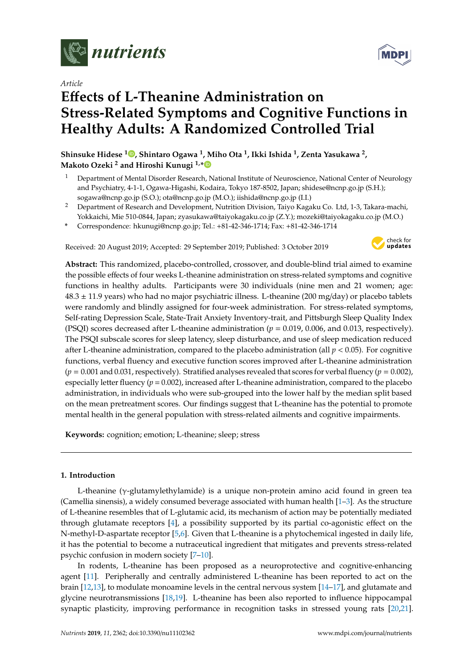

*Article*

# **E**ff**ects of L-Theanine Administration on Stress-Related Symptoms and Cognitive Functions in Healthy Adults: A Randomized Controlled Trial**

**Shinsuke Hidese <sup>1</sup> [,](https://orcid.org/0000-0001-7541-2075) Shintaro Ogawa <sup>1</sup> , Miho Ota <sup>1</sup> , Ikki Ishida <sup>1</sup> , Zenta Yasukawa <sup>2</sup> , Makoto Ozeki <sup>2</sup> and Hiroshi Kunugi 1,[\\*](https://orcid.org/0000-0002-7209-3790)**

- <sup>1</sup> Department of Mental Disorder Research, National Institute of Neuroscience, National Center of Neurology and Psychiatry, 4-1-1, Ogawa-Higashi, Kodaira, Tokyo 187-8502, Japan; shidese@ncnp.go.jp (S.H.); sogawa@ncnp.go.jp (S.O.); ota@ncnp.go.jp (M.O.); iishida@ncnp.go.jp (I.I.)
- <sup>2</sup> Department of Research and Development, Nutrition Division, Taiyo Kagaku Co. Ltd, 1-3, Takara-machi, Yokkaichi, Mie 510-0844, Japan; zyasukawa@taiyokagaku.co.jp (Z.Y.); mozeki@taiyokagaku.co.jp (M.O.)

**\*** Correspondence: hkunugi@ncnp.go.jp; Tel.: +81-42-346-1714; Fax: +81-42-346-1714

Received: 20 August 2019; Accepted: 29 September 2019; Published: 3 October 2019



**Abstract:** This randomized, placebo-controlled, crossover, and double-blind trial aimed to examine the possible effects of four weeks L-theanine administration on stress-related symptoms and cognitive functions in healthy adults. Participants were 30 individuals (nine men and 21 women; age:  $48.3 \pm 11.9$  years) who had no major psychiatric illness. L-theanine (200 mg/day) or placebo tablets were randomly and blindly assigned for four-week administration. For stress-related symptoms, Self-rating Depression Scale, State-Trait Anxiety Inventory-trait, and Pittsburgh Sleep Quality Index (PSQI) scores decreased after L-theanine administration (*p* = 0.019, 0.006, and 0.013, respectively). The PSQI subscale scores for sleep latency, sleep disturbance, and use of sleep medication reduced after L-theanine administration, compared to the placebo administration (all  $p < 0.05$ ). For cognitive functions, verbal fluency and executive function scores improved after L-theanine administration (*p* = 0.001 and 0.031, respectively). Stratified analyses revealed that scores for verbal fluency (*p* = 0.002), especially letter fluency (*p* = 0.002), increased after L-theanine administration, compared to the placebo administration, in individuals who were sub-grouped into the lower half by the median split based on the mean pretreatment scores. Our findings suggest that L-theanine has the potential to promote mental health in the general population with stress-related ailments and cognitive impairments.

**Keywords:** cognition; emotion; L-theanine; sleep; stress

# **1. Introduction**

L-theanine (γ-glutamylethylamide) is a unique non-protein amino acid found in green tea (Camellia sinensis), a widely consumed beverage associated with human health  $[1-3]$  $[1-3]$ . As the structure of L-theanine resembles that of L-glutamic acid, its mechanism of action may be potentially mediated through glutamate receptors [\[4\]](#page-9-2), a possibility supported by its partial co-agonistic effect on the N-methyl-D-aspartate receptor [\[5](#page-9-3)[,6\]](#page-9-4). Given that L-theanine is a phytochemical ingested in daily life, it has the potential to become a nutraceutical ingredient that mitigates and prevents stress-related psychic confusion in modern society [\[7–](#page-9-5)[10\]](#page-9-6).

In rodents, L-theanine has been proposed as a neuroprotective and cognitive-enhancing agent [\[11\]](#page-9-7). Peripherally and centrally administered L-theanine has been reported to act on the brain [\[12](#page-9-8)[,13\]](#page-10-0), to modulate monoamine levels in the central nervous system [\[14](#page-10-1)[–17\]](#page-10-2), and glutamate and glycine neurotransmissions [\[18,](#page-10-3)[19\]](#page-10-4). L-theanine has been also reported to influence hippocampal synaptic plasticity, improving performance in recognition tasks in stressed young rats [\[20,](#page-10-5)[21\]](#page-10-6).

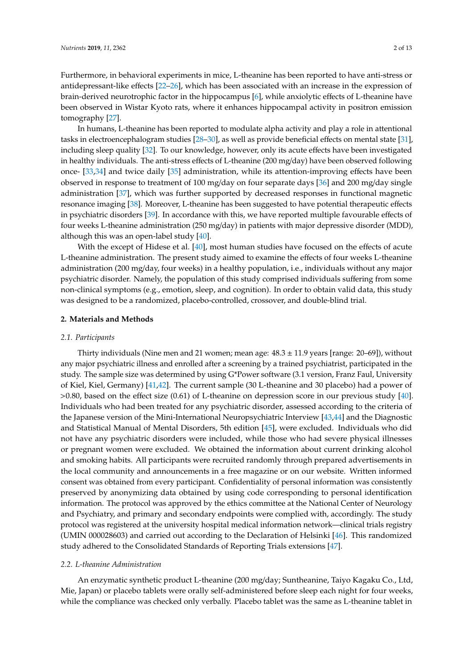Furthermore, in behavioral experiments in mice, L-theanine has been reported to have anti-stress or antidepressant-like effects [\[22](#page-10-7)[–26\]](#page-10-8), which has been associated with an increase in the expression of brain-derived neurotrophic factor in the hippocampus [\[6\]](#page-9-4), while anxiolytic effects of L-theanine have been observed in Wistar Kyoto rats, where it enhances hippocampal activity in positron emission tomography [\[27\]](#page-10-9).

In humans, L-theanine has been reported to modulate alpha activity and play a role in attentional tasks in electroencephalogram studies [\[28](#page-10-10)[–30\]](#page-10-11), as well as provide beneficial effects on mental state [\[31\]](#page-10-12), including sleep quality [\[32\]](#page-10-13). To our knowledge, however, only its acute effects have been investigated in healthy individuals. The anti-stress effects of L-theanine (200 mg/day) have been observed following once- [\[33](#page-10-14)[,34\]](#page-11-0) and twice daily [\[35\]](#page-11-1) administration, while its attention-improving effects have been observed in response to treatment of 100 mg/day on four separate days [\[36\]](#page-11-2) and 200 mg/day single administration [\[37\]](#page-11-3), which was further supported by decreased responses in functional magnetic resonance imaging [\[38\]](#page-11-4). Moreover, L-theanine has been suggested to have potential therapeutic effects in psychiatric disorders [\[39\]](#page-11-5). In accordance with this, we have reported multiple favourable effects of four weeks L-theanine administration (250 mg/day) in patients with major depressive disorder (MDD), although this was an open-label study [\[40\]](#page-11-6).

With the except of Hidese et al. [\[40\]](#page-11-6), most human studies have focused on the effects of acute L-theanine administration. The present study aimed to examine the effects of four weeks L-theanine administration (200 mg/day, four weeks) in a healthy population, i.e., individuals without any major psychiatric disorder. Namely, the population of this study comprised individuals suffering from some non-clinical symptoms (e.g., emotion, sleep, and cognition). In order to obtain valid data, this study was designed to be a randomized, placebo-controlled, crossover, and double-blind trial.

# **2. Materials and Methods**

## *2.1. Participants*

Thirty individuals (Nine men and 21 women; mean age: 48.3 ± 11.9 years [range: 20–69]), without any major psychiatric illness and enrolled after a screening by a trained psychiatrist, participated in the study. The sample size was determined by using G\*Power software (3.1 version, Franz Faul, University of Kiel, Kiel, Germany) [\[41](#page-11-7)[,42\]](#page-11-8). The current sample (30 L-theanine and 30 placebo) had a power of >0.80, based on the effect size (0.61) of L-theanine on depression score in our previous study [\[40\]](#page-11-6). Individuals who had been treated for any psychiatric disorder, assessed according to the criteria of the Japanese version of the Mini-International Neuropsychiatric Interview [\[43](#page-11-9)[,44\]](#page-11-10) and the Diagnostic and Statistical Manual of Mental Disorders, 5th edition [\[45\]](#page-11-11), were excluded. Individuals who did not have any psychiatric disorders were included, while those who had severe physical illnesses or pregnant women were excluded. We obtained the information about current drinking alcohol and smoking habits. All participants were recruited randomly through prepared advertisements in the local community and announcements in a free magazine or on our website. Written informed consent was obtained from every participant. Confidentiality of personal information was consistently preserved by anonymizing data obtained by using code corresponding to personal identification information. The protocol was approved by the ethics committee at the National Center of Neurology and Psychiatry, and primary and secondary endpoints were complied with, accordingly. The study protocol was registered at the university hospital medical information network—clinical trials registry (UMIN 000028603) and carried out according to the Declaration of Helsinki [\[46\]](#page-11-12). This randomized study adhered to the Consolidated Standards of Reporting Trials extensions [\[47\]](#page-11-13).

## *2.2. L-theanine Administration*

An enzymatic synthetic product L-theanine (200 mg/day; Suntheanine, Taiyo Kagaku Co., Ltd, Mie, Japan) or placebo tablets were orally self-administered before sleep each night for four weeks, while the compliance was checked only verbally. Placebo tablet was the same as L-theanine tablet in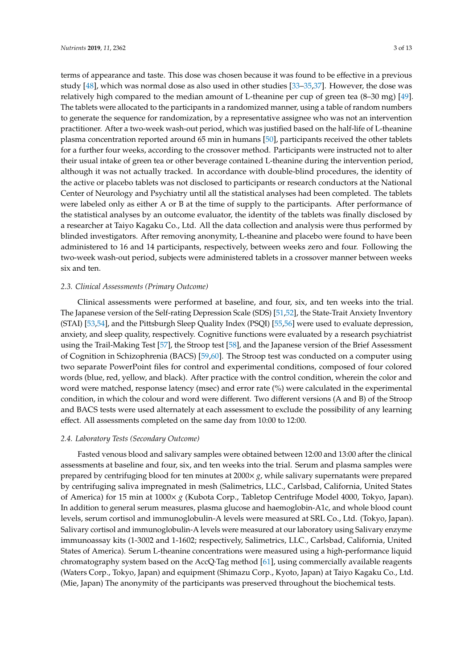terms of appearance and taste. This dose was chosen because it was found to be effective in a previous study [\[48\]](#page-11-14), which was normal dose as also used in other studies [\[33](#page-10-14)[–35,](#page-11-1)[37\]](#page-11-3). However, the dose was relatively high compared to the median amount of L-theanine per cup of green tea (8–30 mg) [\[49\]](#page-11-15). The tablets were allocated to the participants in a randomized manner, using a table of random numbers to generate the sequence for randomization, by a representative assignee who was not an intervention practitioner. After a two-week wash-out period, which was justified based on the half-life of L-theanine plasma concentration reported around 65 min in humans [\[50\]](#page-11-16), participants received the other tablets for a further four weeks, according to the crossover method. Participants were instructed not to alter their usual intake of green tea or other beverage contained L-theanine during the intervention period, although it was not actually tracked. In accordance with double-blind procedures, the identity of the active or placebo tablets was not disclosed to participants or research conductors at the National Center of Neurology and Psychiatry until all the statistical analyses had been completed. The tablets were labeled only as either A or B at the time of supply to the participants. After performance of the statistical analyses by an outcome evaluator, the identity of the tablets was finally disclosed by a researcher at Taiyo Kagaku Co., Ltd. All the data collection and analysis were thus performed by blinded investigators. After removing anonymity, L-theanine and placebo were found to have been administered to 16 and 14 participants, respectively, between weeks zero and four. Following the two-week wash-out period, subjects were administered tablets in a crossover manner between weeks six and ten.

## *2.3. Clinical Assessments (Primary Outcome)*

Clinical assessments were performed at baseline, and four, six, and ten weeks into the trial. The Japanese version of the Self-rating Depression Scale (SDS) [\[51](#page-11-17)[,52\]](#page-11-18), the State-Trait Anxiety Inventory (STAI) [\[53,](#page-11-19)[54\]](#page-11-20), and the Pittsburgh Sleep Quality Index (PSQI) [\[55](#page-12-0)[,56\]](#page-12-1) were used to evaluate depression, anxiety, and sleep quality, respectively. Cognitive functions were evaluated by a research psychiatrist using the Trail-Making Test [\[57\]](#page-12-2), the Stroop test [\[58\]](#page-12-3), and the Japanese version of the Brief Assessment of Cognition in Schizophrenia (BACS) [\[59,](#page-12-4)[60\]](#page-12-5). The Stroop test was conducted on a computer using two separate PowerPoint files for control and experimental conditions, composed of four colored words (blue, red, yellow, and black). After practice with the control condition, wherein the color and word were matched, response latency (msec) and error rate (%) were calculated in the experimental condition, in which the colour and word were different. Two different versions (A and B) of the Stroop and BACS tests were used alternately at each assessment to exclude the possibility of any learning effect. All assessments completed on the same day from 10:00 to 12:00.

## *2.4. Laboratory Tests (Secondary Outcome)*

Fasted venous blood and salivary samples were obtained between 12:00 and 13:00 after the clinical assessments at baseline and four, six, and ten weeks into the trial. Serum and plasma samples were prepared by centrifuging blood for ten minutes at 2000× *g*, while salivary supernatants were prepared by centrifuging saliva impregnated in mesh (Salimetrics, LLC., Carlsbad, California, United States of America) for 15 min at 1000× *g* (Kubota Corp., Tabletop Centrifuge Model 4000, Tokyo, Japan). In addition to general serum measures, plasma glucose and haemoglobin-A1c, and whole blood count levels, serum cortisol and immunoglobulin-A levels were measured at SRL Co., Ltd. (Tokyo, Japan). Salivary cortisol and immunoglobulin-A levels were measured at our laboratory using Salivary enzyme immunoassay kits (1-3002 and 1-1602; respectively, Salimetrics, LLC., Carlsbad, California, United States of America). Serum L-theanine concentrations were measured using a high-performance liquid chromatography system based on the AccQ·Tag method [\[61\]](#page-12-6), using commercially available reagents (Waters Corp., Tokyo, Japan) and equipment (Shimazu Corp., Kyoto, Japan) at Taiyo Kagaku Co., Ltd. (Mie, Japan) The anonymity of the participants was preserved throughout the biochemical tests.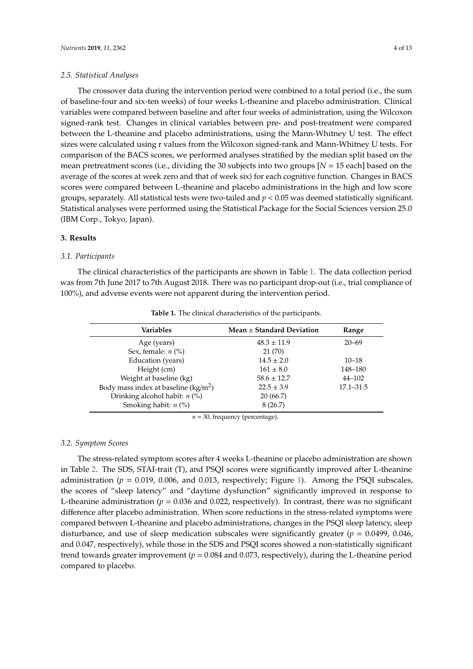# *2.5. Statistical Analyses*

The crossover data during the intervention period were combined to a total period (i.e., the sum of baseline-four and six-ten weeks) of four weeks L-theanine and placebo administration. Clinical variables were compared between baseline and after four weeks of administration, using the Wilcoxon signed-rank test. Changes in clinical variables between pre- and post-treatment were compared between the L-theanine and placebo administrations, using the Mann-Whitney U test. The effect sizes were calculated using r values from the Wilcoxon signed-rank and Mann-Whitney U tests. For comparison of the BACS scores, we performed analyses stratified by the median split based on the mean pretreatment scores (i.e., dividing the 30 subjects into two groups [*N* = 15 each] based on the average of the scores at week zero and that of week six) for each cognitive function. Changes in BACS scores were compared between L-theanine and placebo administrations in the high and low score groups, separately. All statistical tests were two-tailed and *p* < 0.05 was deemed statistically significant. Statistical analyses were performed using the Statistical Package for the Social Sciences version 25.0 (IBM Corp., Tokyo, Japan).

# **3. Results**

# *3.1. Participants*

The clinical characteristics of the participants are shown in Table [1.](#page-3-0) The data collection period was from 7th June 2017 to 7th August 2018. There was no participant drop-out (i.e., trial compliance of 100%), and adverse events were not apparent during the intervention period.

<span id="page-3-0"></span>

| <b>Variables</b>                      | Mean $\pm$ Standard Deviation | Range         |
|---------------------------------------|-------------------------------|---------------|
| Age (years)                           | $48.3 \pm 11.9$               | $20 - 69$     |
| Sex, female: $n$ (%)                  | 21 (70)                       |               |
| Education (years)                     | $14.5 \pm 2.0$                | $10 - 18$     |
| Height (cm)                           | $161 \pm 8.0$                 | 148-180       |
| Weight at baseline (kg)               | $58.6 \pm 12.7$               | $44 - 102$    |
| Body mass index at baseline $(kg/m2)$ | $22.5 \pm 3.9$                | $17.1 - 31.5$ |
| Drinking alcohol habit: $n$ (%)       | 20(66.7)                      |               |
| Smoking habit: $n$ (%)                | 8(26.7)                       |               |

**Table 1.** The clinical characteristics of the participants.

*n* = 30, frequency (percentage).

## *3.2. Symptom Scores*

The stress-related symptom scores after 4 weeks L-theanine or placebo administration are shown in Table [2.](#page-4-0) The SDS, STAI-trait (T), and PSQI scores were significantly improved after L-theanine administration ( $p = 0.019$ , 0.006, and 0.013, respectively; Figure [1\)](#page-5-0). Among the PSQI subscales, the scores of "sleep latency" and "daytime dysfunction" significantly improved in response to L-theanine administration ( $p = 0.036$  and 0.022, respectively). In contrast, there was no significant difference after placebo administration. When score reductions in the stress-related symptoms were compared between L-theanine and placebo administrations, changes in the PSQI sleep latency, sleep disturbance, and use of sleep medication subscales were significantly greater ( $p = 0.0499$ , 0.046, and 0.047, respectively), while those in the SDS and PSQI scores showed a non-statistically significant trend towards greater improvement ( $p = 0.084$  and 0.073, respectively), during the L-theanine period compared to placebo.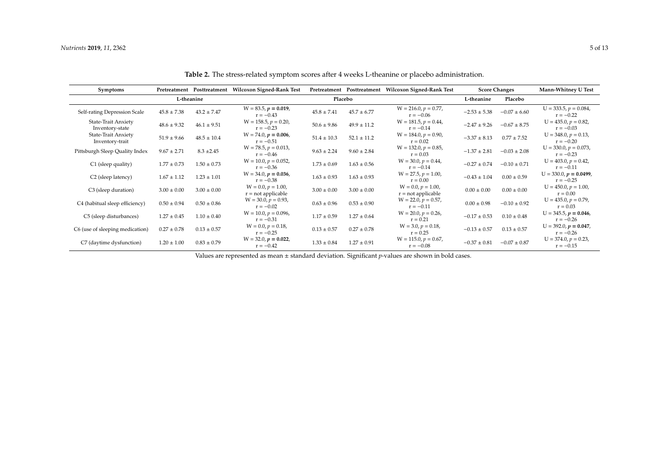| <b>Symptoms</b>                        |                 | Pretreatment Posttreatment | Wilcoxon Signed-Rank Test                    |                 |                 | Pretreatment Posttreatment Wilcoxon Signed-Rank Test |                  | <b>Score Changes</b> | Mann-Whitney U Test                     |
|----------------------------------------|-----------------|----------------------------|----------------------------------------------|-----------------|-----------------|------------------------------------------------------|------------------|----------------------|-----------------------------------------|
|                                        | L-theanine      |                            |                                              | Placebo         |                 |                                                      | L-theanine       | Placebo              |                                         |
| Self-rating Depression Scale           | $45.8 \pm 7.38$ | $43.2 \pm 7.47$            | $W = 83.5, p = 0.019,$<br>$r = -0.43$        | $45.8 \pm 7.41$ | $45.7 \pm 6.77$ | $W = 216.0, p = 0.77,$<br>$r = -0.06$                | $-2.53 \pm 5.38$ | $-0.07 \pm 6.60$     | $U = 333.5, p = 0.084,$<br>$r = -0.22$  |
| State-Trait Anxiety<br>Inventory-state | $48.6 \pm 9.32$ | $46.1 \pm 9.51$            | $W = 158.5, p = 0.20,$<br>$r = -0.23$        | $50.6 \pm 9.86$ | $49.9 \pm 11.2$ | $W = 181.5, p = 0.44,$<br>$r = -0.14$                | $-2.47 \pm 9.26$ | $-0.67 \pm 8.75$     | $U = 435.0, p = 0.82,$<br>$r = -0.03$   |
| State-Trait Anxiety<br>Inventory-trait | $51.9 \pm 9.66$ | $48.5 \pm 10.4$            | $W = 74.0, p = 0.006,$<br>$r = -0.51$        | $51.4 \pm 10.3$ | $52.1 \pm 11.2$ | $W = 184.0, p = 0.90,$<br>$r = 0.02$                 | $-3.37 \pm 8.13$ | $0.77 \pm 7.52$      | $U = 348.0, p = 0.13,$<br>$r = -0.20$   |
| Pittsburgh Sleep Quality Index         | $9.67 \pm 2.71$ | $8.3 \pm 2.45$             | $W = 78.5, p = 0.013,$<br>$r = -0.46$        | $9.63 \pm 2.24$ | $9.60 \pm 2.84$ | $W = 132.0, p = 0.85,$<br>$r = 0.03$                 | $-1.37 \pm 2.81$ | $-0.03 \pm 2.08$     | $U = 330.0, p = 0.073,$<br>$r = -0.23$  |
| C1 (sleep quality)                     | $1.77 \pm 0.73$ | $1.50 \pm 0.73$            | $W = 10.0, p = 0.052,$<br>$r = -0.36$        | $1.73 \pm 0.69$ | $1.63 \pm 0.56$ | $W = 30.0, p = 0.44,$<br>$r = -0.14$                 | $-0.27 \pm 0.74$ | $-0.10 \pm 0.71$     | $U = 403.0, p = 0.42,$<br>$r = -0.11$   |
| C <sub>2</sub> (sleep latency)         | $1.67 \pm 1.12$ | $1.23 \pm 1.01$            | $W = 34.0, p = 0.036,$<br>$r = -0.38$        | $1.63 \pm 0.93$ | $1.63 \pm 0.93$ | $W = 27.5, p = 1.00,$<br>$r = 0.00$                  | $-0.43 \pm 1.04$ | $0.00 \pm 0.59$      | $U = 330.0, p = 0.0499,$<br>$r = -0.25$ |
| C <sub>3</sub> (sleep duration)        | $3.00 \pm 0.00$ | $3.00 \pm 0.00$            | $W = 0.0, p = 1.00,$<br>$r = not applicable$ | $3.00 \pm 0.00$ | $3.00 \pm 0.00$ | $W = 0.0, p = 1.00,$<br>$r = not applicable$         | $0.00 \pm 0.00$  | $0.00 \pm 0.00$      | $U = 450.0, p = 1.00,$<br>$r = 0.00$    |
| C4 (habitual sleep efficiency)         | $0.50 \pm 0.94$ | $0.50 \pm 0.86$            | $W = 30.0, p = 0.93,$<br>$r = -0.02$         | $0.63 \pm 0.96$ | $0.53 \pm 0.90$ | $W = 22.0, p = 0.57,$<br>$r = -0.11$                 | $0.00 \pm 0.98$  | $-0.10 \pm 0.92$     | $U = 435.0, p = 0.79,$<br>$r = 0.03$    |
| C5 (sleep disturbances)                | $1.27 \pm 0.45$ | $1.10 \pm 0.40$            | $W = 10.0, p = 0.096,$<br>$r = -0.31$        | $1.17 \pm 0.59$ | $1.27 \pm 0.64$ | $W = 20.0, p = 0.26,$<br>$r = 0.21$                  | $-0.17 \pm 0.53$ | $0.10 \pm 0.48$      | $U = 345.5, p = 0.046,$<br>$r = -0.26$  |
| C6 (use of sleeping medication)        | $0.27 \pm 0.78$ | $0.13 \pm 0.57$            | $W = 0.0, p = 0.18,$<br>$r = -0.25$          | $0.13 \pm 0.57$ | $0.27 \pm 0.78$ | $W = 3.0, p = 0.18,$<br>$r = 0.25$                   | $-0.13 \pm 0.57$ | $0.13 \pm 0.57$      | $U = 392.0, p = 0.047,$<br>$r = -0.26$  |
| C7 (daytime dysfunction)               | $1.20 \pm 1.00$ | $0.83 \pm 0.79$            | $W = 32.0, p = 0.022,$<br>$r = -0.42$        | $1.33 \pm 0.84$ | $1.27 \pm 0.91$ | $W = 115.0, p = 0.67,$<br>$r = -0.08$                | $-0.37 \pm 0.81$ | $-0.07 \pm 0.87$     | $U = 374.0, p = 0.23,$<br>$r = -0.15$   |

**Table 2.** The stress-related symptom scores after 4 weeks L-theanine or placebo administration.

<span id="page-4-0"></span>Values are represented as mean ± standard deviation. Significant *p*-values are shown in bold cases.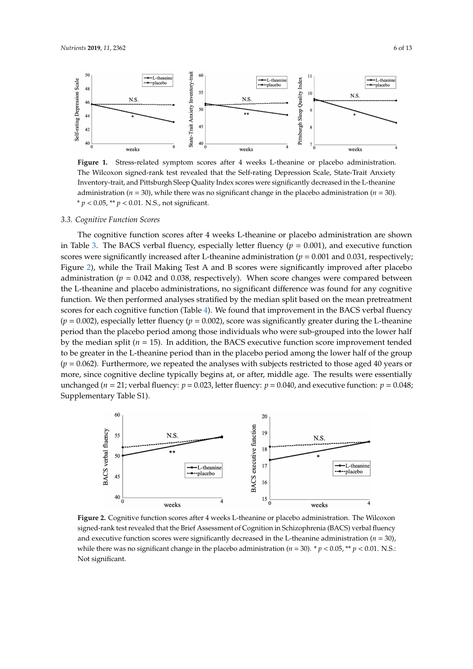<span id="page-5-0"></span>

**Figure 1.** Stress-related symptom scores after 4 weeks L-theanine or placebo administration. The Wilcoxon signed-rank test revealed that the Self-rating Depression Scale, State-Trait Anxiety Inventory-trait, and Pittsburgh Sleep Quality Index scores were significantly decreased in the L-theanine administration ( $n = 30$ ), while there was no significant change in the placebo administration ( $n = 30$ ). \* *p* < 0.05, \*\* *p* < 0.01. N.S., not significant.

#### *3.3. Cognitive Function Scores*

The cognitive function scores after 4 weeks L-theanine or placebo administration are shown in Table [3.](#page-6-0) The BACS verbal fluency, especially letter fluency  $(p = 0.001)$ , and executive function scores were significantly increased after L-theanine administration ( $p = 0.001$  and 0.031, respectively; Figure [2\)](#page-5-1), while the Trail Making Test A and B scores were significantly improved after placebo administration ( $p = 0.042$  and 0.038, respectively). When score changes were compared between the L-theanine and placebo administrations, no significant difference was found for any cognitive function. We then performed analyses stratified by the median split based on the mean pretreatment scores for each cognitive function (Table [4\)](#page-7-0). We found that improvement in the BACS verbal fluency  $(p = 0.002)$ , especially letter fluency  $(p = 0.002)$ , score was significantly greater during the L-theanine period than the placebo period among those individuals who were sub-grouped into the lower half by the median split (*n* = 15). In addition, the BACS executive function score improvement tended to be greater in the L-theanine period than in the placebo period among the lower half of the group  $(p = 0.062)$ . Furthermore, we repeated the analyses with subjects restricted to those aged 40 years or more, since cognitive decline typically begins at, or after, middle age. The results were essentially unchanged ( $n = 21$ ; verbal fluency:  $p = 0.023$ , letter fluency:  $p = 0.040$ , and executive function:  $p = 0.048$ ; Supplementary Table S1).

<span id="page-5-1"></span>

**Figure 2.** Cognitive function scores after 4 weeks L-theanine or placebo administration. The Wilcoxon signed-rank test revealed that the Brief Assessment of Cognition in Schizophrenia (BACS) verbal fluency and executive function scores were significantly decreased in the L-theanine administration  $(n = 30)$ , while there was no significant change in the placebo administration ( $n = 30$ ). \*  $p < 0.05$ , \*\*  $p < 0.01$ . N.S.: Not significant.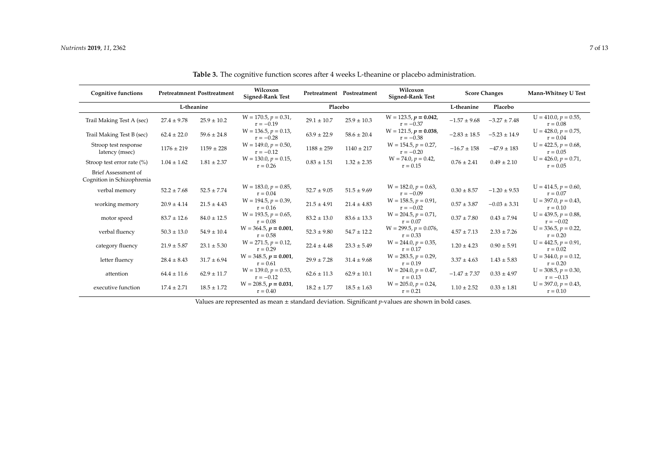| <b>Cognitive functions</b>                        |                 | <b>Pretreatmnent Posttreatment</b> | Wilcoxon<br><b>Signed-Rank Test</b>   |                 | Pretreatment Postreatment | Wilcoxon<br><b>Signed-Rank Test</b>    | <b>Score Changes</b> |                  | Mann-Whitney U Test                   |
|---------------------------------------------------|-----------------|------------------------------------|---------------------------------------|-----------------|---------------------------|----------------------------------------|----------------------|------------------|---------------------------------------|
|                                                   | L-theanine      |                                    |                                       | Placebo         |                           |                                        | L-theanine           | Placebo          |                                       |
| Trail Making Test A (sec)                         | $27.4 \pm 9.78$ | $25.9 \pm 10.2$                    | $W = 170.5, p = 0.31,$<br>$r = -0.19$ | $29.1 \pm 10.7$ | $25.9 \pm 10.3$           | $W = 123.5, p = 0.042,$<br>$r = -0.37$ | $-1.57 \pm 9.68$     | $-3.27 \pm 7.48$ | $U = 410.0, p = 0.55,$<br>$r = 0.08$  |
| Trail Making Test B (sec)                         | $62.4 \pm 22.0$ | $59.6 \pm 24.8$                    | $W = 136.5, p = 0.13,$<br>$r = -0.28$ | $63.9 \pm 22.9$ | $58.6 \pm 20.4$           | $W = 121.5, p = 0.038,$<br>$r = -0.38$ | $-2.83 \pm 18.5$     | $-5.23 \pm 14.9$ | $U = 428.0, p = 0.75,$<br>$r = 0.04$  |
| Stroop test response<br>latency (msec)            | $1176 \pm 219$  | $1159 \pm 228$                     | $W = 149.0, p = 0.50,$<br>$r = -0.12$ | $1188 \pm 259$  | $1140 \pm 217$            | $W = 154.5, p = 0.27,$<br>$r = -0.20$  | $-16.7 \pm 158$      | $-47.9 \pm 183$  | $U = 422.5, p = 0.68,$<br>$r = 0.05$  |
| Stroop test error rate $(\%)$                     | $1.04 \pm 1.62$ | $1.81 \pm 2.37$                    | $W = 130.0, p = 0.15,$<br>$r = 0.26$  | $0.83 \pm 1.51$ | $1.32 \pm 2.35$           | $W = 74.0, p = 0.42,$<br>$r = 0.15$    | $0.76 \pm 2.41$      | $0.49 \pm 2.10$  | $U = 426.0, p = 0.71,$<br>$r = 0.05$  |
| Brief Assessment of<br>Cognition in Schizophrenia |                 |                                    |                                       |                 |                           |                                        |                      |                  |                                       |
| verbal memory                                     | $52.2 \pm 7.68$ | $52.5 \pm 7.74$                    | $W = 183.0, p = 0.85,$<br>$r = 0.04$  | $52.7 \pm 9.05$ | $51.5 \pm 9.69$           | $W = 182.0, p = 0.63,$<br>$r = -0.09$  | $0.30 \pm 8.57$      | $-1.20 \pm 9.53$ | $U = 414.5, p = 0.60,$<br>$r = 0.07$  |
| working memory                                    | $20.9 \pm 4.14$ | $21.5 \pm 4.43$                    | $W = 194.5, p = 0.39,$<br>$r = 0.16$  | $21.5 \pm 4.91$ | $21.4 \pm 4.83$           | $W = 158.5, p = 0.91,$<br>$r = -0.02$  | $0.57 \pm 3.87$      | $-0.03 \pm 3.31$ | $U = 397.0, p = 0.43,$<br>$r = 0.10$  |
| motor speed                                       | $83.7 \pm 12.6$ | $84.0 \pm 12.5$                    | $W = 193.5, p = 0.65,$<br>$r = 0.08$  | $83.2 \pm 13.0$ | $83.6 \pm 13.3$           | $W = 204.5, p = 0.71,$<br>$r = 0.07$   | $0.37 \pm 7.80$      | $0.43 \pm 7.94$  | $U = 439.5, p = 0.88,$<br>$r = -0.02$ |
| verbal fluency                                    | $50.3 \pm 13.0$ | $54.9 \pm 10.4$                    | $W = 364.5, p = 0.001,$<br>$r = 0.58$ | $52.3 \pm 9.80$ | $54.7 \pm 12.2$           | $W = 299.5, p = 0.076,$<br>$r = 0.33$  | $4.57 \pm 7.13$      | $2.33 \pm 7.26$  | $U = 336.5, p = 0.22,$<br>$r = 0.20$  |
| category fluency                                  | $21.9 \pm 5.87$ | $23.1 \pm 5.30$                    | $W = 271.5, p = 0.12,$<br>$r = 0.29$  | $22.4 \pm 4.48$ | $23.3 \pm 5.49$           | $W = 244.0, p = 0.35,$<br>$r = 0.17$   | $1.20 \pm 4.23$      | $0.90 \pm 5.91$  | $U = 442.5, p = 0.91,$<br>$r = 0.02$  |
| letter fluency                                    | $28.4 \pm 8.43$ | $31.7 \pm 6.94$                    | $W = 348.5, p = 0.001,$<br>$r = 0.61$ | $29.9 \pm 7.28$ | $31.4 \pm 9.68$           | $W = 283.5, p = 0.29,$<br>$r = 0.19$   | $3.37 \pm 4.63$      | $1.43 \pm 5.83$  | $U = 344.0, p = 0.12,$<br>$r = 0.20$  |
| attention                                         | $64.4 \pm 11.6$ | $62.9 \pm 11.7$                    | $W = 139.0, p = 0.53,$<br>$r = -0.12$ | $62.6 \pm 11.3$ | $62.9 \pm 10.1$           | $W = 204.0, p = 0.47,$<br>$r = 0.13$   | $-1.47 \pm 7.37$     | $0.33 \pm 4.97$  | $U = 308.5, p = 0.30,$<br>$r = -0.13$ |
| executive function                                | $17.4 \pm 2.71$ | $18.5 \pm 1.72$                    | $W = 208.5, p = 0.031,$<br>$r = 0.40$ | $18.2 \pm 1.77$ | $18.5 \pm 1.63$           | $W = 205.0, p = 0.24,$<br>$r = 0.21$   | $1.10 \pm 2.52$      | $0.33 \pm 1.81$  | $U = 397.0, p = 0.43,$<br>$r = 0.10$  |

**Table 3.** The cognitive function scores after 4 weeks L-theanine or placebo administration.

<span id="page-6-0"></span>Values are represented as mean ± standard deviation. Significant *p*-values are shown in bold cases.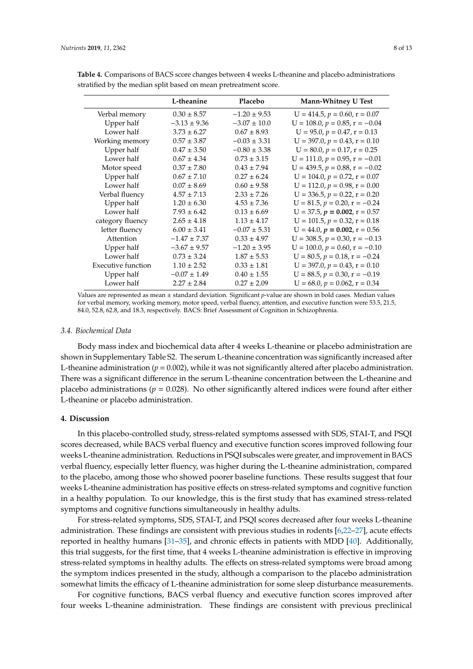|                           | L-theanine       | Placebo          | <b>Mann-Whitney U Test</b>            |
|---------------------------|------------------|------------------|---------------------------------------|
| Verbal memory             | $0.30 \pm 8.57$  | $-1.20 \pm 9.53$ | $U = 414.5, p = 0.60, r = 0.07$       |
| Upper half                | $-3.13 \pm 9.36$ | $-3.07 \pm 10.0$ | $U = 108.0, p = 0.85, r = -0.04$      |
| Lower half                | $3.73 \pm 6.27$  | $0.67 \pm 8.93$  | $U = 95.0, p = 0.47, r = 0.13$        |
| Working memory            | $0.57 \pm 3.87$  | $-0.03 \pm 3.31$ | $U = 397.0, p = 0.43, r = 0.10$       |
| Upper half                | $0.47 \pm 3.50$  | $-0.80 \pm 3.38$ | $U = 80.0, p = 0.17, r = 0.25$        |
| Lower half                | $0.67 \pm 4.34$  | $0.73 \pm 3.15$  | $U = 111.0, p = 0.95, r = -0.01$      |
| Motor speed               | $0.37 \pm 7.80$  | $0.43 \pm 7.94$  | $U = 439.5, p = 0.88, r = -0.02$      |
| Upper half                | $0.67 \pm 7.10$  | $0.27 \pm 6.24$  | $U = 104.0, p = 0.72, r = 0.07$       |
| Lower half                | $0.07 \pm 8.69$  | $0.60 \pm 9.58$  | $U = 112.0, p = 0.98, r = 0.00$       |
| Verbal fluency            | $4.57 \pm 7.13$  | $2.33 \pm 7.26$  | $U = 336.5, p = 0.22, r = 0.20$       |
| Upper half                | $1.20 \pm 6.30$  | $4.53 \pm 7.36$  | $U = 81.5, p = 0.20, r = -0.24$       |
| Lower half                | $7.93 \pm 6.42$  | $0.13 \pm 6.69$  | $U = 37.5$ , $p = 0.002$ , $r = 0.57$ |
| category fluency          | $2.65 \pm 4.18$  | $1.13 \pm 4.17$  | $U = 101.5, p = 0.32, r = 0.18$       |
| letter fluency            | $6.00 \pm 3.41$  | $-0.07 \pm 5.31$ | $U = 44.0, p = 0.002, r = 0.56$       |
| Attention                 | $-1.47 \pm 7.37$ | $0.33 \pm 4.97$  | $U = 308.5, p = 0.30, r = -0.13$      |
| Upper half                | $-3.67 \pm 9.57$ | $-1.20 \pm 3.95$ | $U = 100.0, p = 0.60, r = -0.10$      |
| Lower half                | $0.73 \pm 3.24$  | $1.87 \pm 5.53$  | $U = 80.5$ , $p = 0.18$ , $r = -0.24$ |
| <b>Executive function</b> | $1.10 \pm 2.52$  | $0.33 \pm 1.81$  | $U = 397.0, p = 0.43, r = 0.10$       |
| Upper half                | $-0.07 \pm 1.49$ | $0.40 \pm 1.55$  | $U = 88.5, p = 0.30, r = -0.19$       |
| Lower half                | $2.27 \pm 2.84$  | $0.27 \pm 2.09$  | $U = 68.0, p = 0.062, r = 0.34$       |

<span id="page-7-0"></span>**Table 4.** Comparisons of BACS score changes between 4 weeks L-theanine and placebo administrations stratified by the median split based on mean pretreatment score.

Values are represented as mean ± standard deviation. Significant *p*-value are shown in bold cases. Median values for verbal memory, working memory, motor speed, verbal fluency, attention, and executive function were 53.5, 21.5, 84.0, 52.8, 62.8, and 18.3, respectively. BACS: Brief Assessment of Cognition in Schizophrenia.

#### *3.4. Biochemical Data*

Body mass index and biochemical data after 4 weeks L-theanine or placebo administration are shown in Supplementary Table S2. The serum L-theanine concentration was significantly increased after L-theanine administration  $(p = 0.002)$ , while it was not significantly altered after placebo administration. There was a significant difference in the serum L-theanine concentration between the L-theanine and placebo administrations ( $p = 0.028$ ). No other significantly altered indices were found after either L-theanine or placebo administration.

#### **4. Discussion**

In this placebo-controlled study, stress-related symptoms assessed with SDS, STAI-T, and PSQI scores decreased, while BACS verbal fluency and executive function scores improved following four weeks L-theanine administration. Reductions in PSQI subscales were greater, and improvement in BACS verbal fluency, especially letter fluency, was higher during the L-theanine administration, compared to the placebo, among those who showed poorer baseline functions. These results suggest that four weeks L-theanine administration has positive effects on stress-related symptoms and cognitive function in a healthy population. To our knowledge, this is the first study that has examined stress-related symptoms and cognitive functions simultaneously in healthy adults.

For stress-related symptoms, SDS, STAI-T, and PSQI scores decreased after four weeks L-theanine administration. These findings are consistent with previous studies in rodents [\[6](#page-9-4)[,22](#page-10-7)[–27\]](#page-10-9), acute effects reported in healthy humans [\[31](#page-10-12)[–35\]](#page-11-1), and chronic effects in patients with MDD [\[40\]](#page-11-6). Additionally, this trial suggests, for the first time, that 4 weeks L-theanine administration is effective in improving stress-related symptoms in healthy adults. The effects on stress-related symptoms were broad among the symptom indices presented in the study, although a comparison to the placebo administration somewhat limits the efficacy of L-theanine administration for some sleep disturbance measurements.

For cognitive functions, BACS verbal fluency and executive function scores improved after four weeks L-theanine administration. These findings are consistent with previous preclinical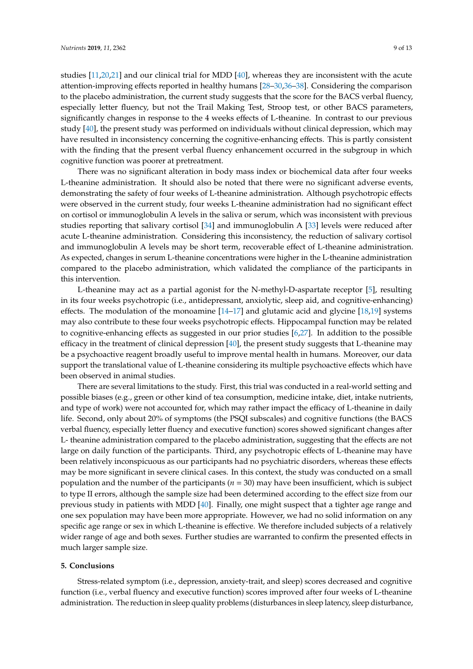studies [\[11](#page-9-7)[,20](#page-10-5)[,21\]](#page-10-6) and our clinical trial for MDD [\[40\]](#page-11-6), whereas they are inconsistent with the acute attention-improving effects reported in healthy humans [\[28](#page-10-10)[–30,](#page-10-11)[36–](#page-11-2)[38\]](#page-11-4). Considering the comparison to the placebo administration, the current study suggests that the score for the BACS verbal fluency, especially letter fluency, but not the Trail Making Test, Stroop test, or other BACS parameters, significantly changes in response to the 4 weeks effects of L-theanine. In contrast to our previous study [\[40\]](#page-11-6), the present study was performed on individuals without clinical depression, which may have resulted in inconsistency concerning the cognitive-enhancing effects. This is partly consistent with the finding that the present verbal fluency enhancement occurred in the subgroup in which cognitive function was poorer at pretreatment.

There was no significant alteration in body mass index or biochemical data after four weeks L-theanine administration. It should also be noted that there were no significant adverse events, demonstrating the safety of four weeks of L-theanine administration. Although psychotropic effects were observed in the current study, four weeks L-theanine administration had no significant effect on cortisol or immunoglobulin A levels in the saliva or serum, which was inconsistent with previous studies reporting that salivary cortisol [\[34\]](#page-11-0) and immunoglobulin A [\[33\]](#page-10-14) levels were reduced after acute L-theanine administration. Considering this inconsistency, the reduction of salivary cortisol and immunoglobulin A levels may be short term, recoverable effect of L-theanine administration. As expected, changes in serum L-theanine concentrations were higher in the L-theanine administration compared to the placebo administration, which validated the compliance of the participants in this intervention.

L-theanine may act as a partial agonist for the N-methyl-D-aspartate receptor [\[5\]](#page-9-3), resulting in its four weeks psychotropic (i.e., antidepressant, anxiolytic, sleep aid, and cognitive-enhancing) effects. The modulation of the monoamine [\[14](#page-10-1)[–17\]](#page-10-2) and glutamic acid and glycine [\[18,](#page-10-3)[19\]](#page-10-4) systems may also contribute to these four weeks psychotropic effects. Hippocampal function may be related to cognitive-enhancing effects as suggested in our prior studies [\[6](#page-9-4)[,27\]](#page-10-9). In addition to the possible efficacy in the treatment of clinical depression [\[40\]](#page-11-6), the present study suggests that L-theanine may be a psychoactive reagent broadly useful to improve mental health in humans. Moreover, our data support the translational value of L-theanine considering its multiple psychoactive effects which have been observed in animal studies.

There are several limitations to the study. First, this trial was conducted in a real-world setting and possible biases (e.g., green or other kind of tea consumption, medicine intake, diet, intake nutrients, and type of work) were not accounted for, which may rather impact the efficacy of L-theanine in daily life. Second, only about 20% of symptoms (the PSQI subscales) and cognitive functions (the BACS verbal fluency, especially letter fluency and executive function) scores showed significant changes after L- theanine administration compared to the placebo administration, suggesting that the effects are not large on daily function of the participants. Third, any psychotropic effects of L-theanine may have been relatively inconspicuous as our participants had no psychiatric disorders, whereas these effects may be more significant in severe clinical cases. In this context, the study was conducted on a small population and the number of the participants (*n* = 30) may have been insufficient, which is subject to type II errors, although the sample size had been determined according to the effect size from our previous study in patients with MDD [\[40\]](#page-11-6). Finally, one might suspect that a tighter age range and one sex population may have been more appropriate. However, we had no solid information on any specific age range or sex in which L-theanine is effective. We therefore included subjects of a relatively wider range of age and both sexes. Further studies are warranted to confirm the presented effects in much larger sample size.

## **5. Conclusions**

Stress-related symptom (i.e., depression, anxiety-trait, and sleep) scores decreased and cognitive function (i.e., verbal fluency and executive function) scores improved after four weeks of L-theanine administration. The reduction in sleep quality problems (disturbances in sleep latency, sleep disturbance,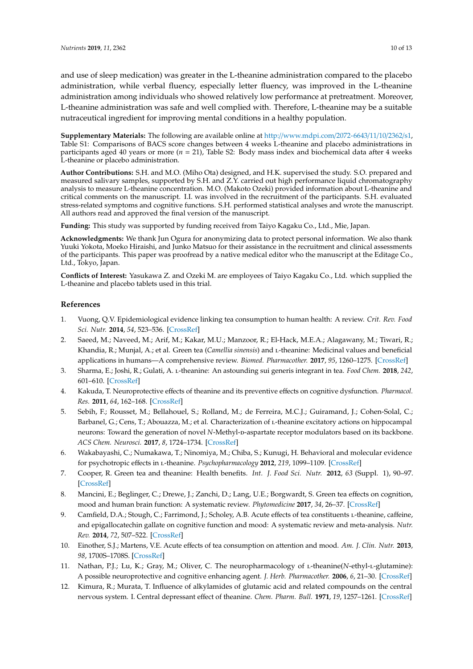and use of sleep medication) was greater in the L-theanine administration compared to the placebo administration, while verbal fluency, especially letter fluency, was improved in the L-theanine administration among individuals who showed relatively low performance at pretreatment. Moreover, L-theanine administration was safe and well complied with. Therefore, L-theanine may be a suitable nutraceutical ingredient for improving mental conditions in a healthy population.

**Supplementary Materials:** The following are available online at http://[www.mdpi.com](http://www.mdpi.com/2072-6643/11/10/2362/s1)/2072-6643/11/10/2362/s1, Table S1: Comparisons of BACS score changes between 4 weeks L-theanine and placebo administrations in participants aged 40 years or more (*n* = 21), Table S2: Body mass index and biochemical data after 4 weeks L-theanine or placebo administration.

**Author Contributions:** S.H. and M.O. (Miho Ota) designed, and H.K. supervised the study. S.O. prepared and measured salivary samples, supported by S.H. and Z.Y. carried out high performance liquid chromatography analysis to measure L-theanine concentration. M.O. (Makoto Ozeki) provided information about L-theanine and critical comments on the manuscript. I.I. was involved in the recruitment of the participants. S.H. evaluated stress-related symptoms and cognitive functions. S.H. performed statistical analyses and wrote the manuscript. All authors read and approved the final version of the manuscript.

**Funding:** This study was supported by funding received from Taiyo Kagaku Co., Ltd., Mie, Japan.

**Acknowledgments:** We thank Jun Ogura for anonymizing data to protect personal information. We also thank Yuuki Yokota, Moeko Hiraishi, and Junko Matsuo for their assistance in the recruitment and clinical assessments of the participants. This paper was proofread by a native medical editor who the manuscript at the Editage Co., Ltd., Tokyo, Japan.

**Conflicts of Interest:** Yasukawa Z. and Ozeki M. are employees of Taiyo Kagaku Co., Ltd. which supplied the L-theanine and placebo tablets used in this trial.

# **References**

- <span id="page-9-0"></span>1. Vuong, Q.V. Epidemiological evidence linking tea consumption to human health: A review. *Crit. Rev. Food Sci. Nutr.* **2014**, *54*, 523–536. [\[CrossRef\]](http://dx.doi.org/10.1080/10408398.2011.594184)
- 2. Saeed, M.; Naveed, M.; Arif, M.; Kakar, M.U.; Manzoor, R.; El-Hack, M.E.A.; Alagawany, M.; Tiwari, R.; Khandia, R.; Munjal, A.; et al. Green tea (*Camellia sinensis*) and *L*-theanine: Medicinal values and beneficial applications in humans—A comprehensive review. *Biomed. Pharmacother.* **2017**, *95*, 1260–1275. [\[CrossRef\]](http://dx.doi.org/10.1016/j.biopha.2017.09.024)
- <span id="page-9-1"></span>3. Sharma, E.; Joshi, R.; Gulati, A. l-theanine: An astounding sui generis integrant in tea. *Food Chem.* **2018**, *242*, 601–610. [\[CrossRef\]](http://dx.doi.org/10.1016/j.foodchem.2017.09.046)
- <span id="page-9-2"></span>4. Kakuda, T. Neuroprotective effects of theanine and its preventive effects on cognitive dysfunction. *Pharmacol. Res.* **2011**, *64*, 162–168. [\[CrossRef\]](http://dx.doi.org/10.1016/j.phrs.2011.03.010)
- <span id="page-9-3"></span>5. Sebih, F.; Rousset, M.; Bellahouel, S.; Rolland, M.; de Ferreira, M.C.J.; Guiramand, J.; Cohen-Solal, C.; Barbanel, G.; Cens, T.; Abouazza, M.; et al. Characterization of *L*-theanine excitatory actions on hippocampal neurons: Toward the generation of novel *N*-Methyl-D-aspartate receptor modulators based on its backbone. *ACS Chem. Neurosci.* **2017**, *8*, 1724–1734. [\[CrossRef\]](http://dx.doi.org/10.1021/acschemneuro.7b00036)
- <span id="page-9-4"></span>6. Wakabayashi, C.; Numakawa, T.; Ninomiya, M.; Chiba, S.; Kunugi, H. Behavioral and molecular evidence for psychotropic effects in l-theanine. *Psychopharmacology* **2012**, *219*, 1099–1109. [\[CrossRef\]](http://dx.doi.org/10.1007/s00213-011-2440-z)
- <span id="page-9-5"></span>7. Cooper, R. Green tea and theanine: Health benefits. *Int. J. Food Sci. Nutr.* **2012**, *63* (Suppl. 1), 90–97. [\[CrossRef\]](http://dx.doi.org/10.3109/09637486.2011.629180)
- 8. Mancini, E.; Beglinger, C.; Drewe, J.; Zanchi, D.; Lang, U.E.; Borgwardt, S. Green tea effects on cognition, mood and human brain function: A systematic review. *Phytomedicine* **2017**, *34*, 26–37. [\[CrossRef\]](http://dx.doi.org/10.1016/j.phymed.2017.07.008)
- 9. Camfield, D.A.; Stough, C.; Farrimond, J.; Scholey, A.B. Acute effects of tea constituents L-theanine, caffeine, and epigallocatechin gallate on cognitive function and mood: A systematic review and meta-analysis. *Nutr. Rev.* **2014**, *72*, 507–522. [\[CrossRef\]](http://dx.doi.org/10.1111/nure.12120)
- <span id="page-9-6"></span>10. Einother, S.J.; Martens, V.E. Acute effects of tea consumption on attention and mood. *Am. J. Clin. Nutr.* **2013**, *98*, 1700S–1708S. [\[CrossRef\]](http://dx.doi.org/10.3945/ajcn.113.058248)
- <span id="page-9-7"></span>11. Nathan, P.J.; Lu, K.; Gray, M.; Oliver, C. The neuropharmacology of l-theanine(*N*-ethyl-l-glutamine): A possible neuroprotective and cognitive enhancing agent. *J. Herb. Pharmacother.* **2006**, *6*, 21–30. [\[CrossRef\]](http://dx.doi.org/10.1080/J157v06n02_02)
- <span id="page-9-8"></span>12. Kimura, R.; Murata, T. Influence of alkylamides of glutamic acid and related compounds on the central nervous system. I. Central depressant effect of theanine. *Chem. Pharm. Bull.* **1971**, *19*, 1257–1261. [\[CrossRef\]](http://dx.doi.org/10.1248/cpb.19.1257)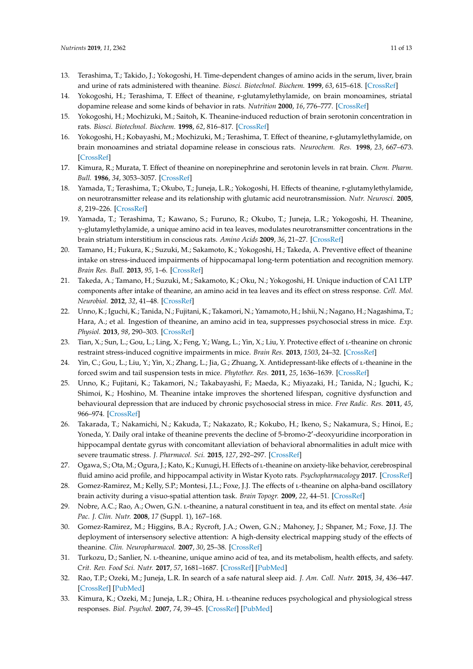- <span id="page-10-0"></span>13. Terashima, T.; Takido, J.; Yokogoshi, H. Time-dependent changes of amino acids in the serum, liver, brain and urine of rats administered with theanine. *Biosci. Biotechnol. Biochem.* **1999**, *63*, 615–618. [\[CrossRef\]](http://dx.doi.org/10.1271/bbb.63.615)
- <span id="page-10-1"></span>14. Yokogoshi, H.; Terashima, T. Effect of theanine, r-glutamylethylamide, on brain monoamines, striatal dopamine release and some kinds of behavior in rats. *Nutrition* **2000**, *16*, 776–777. [\[CrossRef\]](http://dx.doi.org/10.1016/S0899-9007(00)00384-1)
- 15. Yokogoshi, H.; Mochizuki, M.; Saitoh, K. Theanine-induced reduction of brain serotonin concentration in rats. *Biosci. Biotechnol. Biochem.* **1998**, *62*, 816–817. [\[CrossRef\]](http://dx.doi.org/10.1271/bbb.62.816)
- 16. Yokogoshi, H.; Kobayashi, M.; Mochizuki, M.; Terashima, T. Effect of theanine, r-glutamylethylamide, on brain monoamines and striatal dopamine release in conscious rats. *Neurochem. Res.* **1998**, *23*, 667–673. [\[CrossRef\]](http://dx.doi.org/10.1023/A:1022490806093)
- <span id="page-10-2"></span>17. Kimura, R.; Murata, T. Effect of theanine on norepinephrine and serotonin levels in rat brain. *Chem. Pharm. Bull.* **1986**, *34*, 3053–3057. [\[CrossRef\]](http://dx.doi.org/10.1248/cpb.34.3053)
- <span id="page-10-3"></span>18. Yamada, T.; Terashima, T.; Okubo, T.; Juneja, L.R.; Yokogoshi, H. Effects of theanine, r-glutamylethylamide, on neurotransmitter release and its relationship with glutamic acid neurotransmission. *Nutr. Neurosci.* **2005**, *8*, 219–226. [\[CrossRef\]](http://dx.doi.org/10.1080/10284150500170799)
- <span id="page-10-4"></span>19. Yamada, T.; Terashima, T.; Kawano, S.; Furuno, R.; Okubo, T.; Juneja, L.R.; Yokogoshi, H. Theanine,  $\gamma$ -glutamylethylamide, a unique amino acid in tea leaves, modulates neurotransmitter concentrations in the brain striatum interstitium in conscious rats. *Amino Acids* **2009**, *36*, 21–27. [\[CrossRef\]](http://dx.doi.org/10.1007/s00726-007-0020-7)
- <span id="page-10-5"></span>20. Tamano, H.; Fukura, K.; Suzuki, M.; Sakamoto, K.; Yokogoshi, H.; Takeda, A. Preventive effect of theanine intake on stress-induced impairments of hippocamapal long-term potentiation and recognition memory. *Brain Res. Bull.* **2013**, *95*, 1–6. [\[CrossRef\]](http://dx.doi.org/10.1016/j.brainresbull.2013.02.005)
- <span id="page-10-6"></span>21. Takeda, A.; Tamano, H.; Suzuki, M.; Sakamoto, K.; Oku, N.; Yokogoshi, H. Unique induction of CA1 LTP components after intake of theanine, an amino acid in tea leaves and its effect on stress response. *Cell. Mol. Neurobiol.* **2012**, *32*, 41–48. [\[CrossRef\]](http://dx.doi.org/10.1007/s10571-011-9732-z)
- <span id="page-10-7"></span>22. Unno, K.; Iguchi, K.; Tanida, N.; Fujitani, K.; Takamori, N.; Yamamoto, H.; Ishii, N.; Nagano, H.; Nagashima, T.; Hara, A.; et al. Ingestion of theanine, an amino acid in tea, suppresses psychosocial stress in mice. *Exp. Physiol.* **2013**, *98*, 290–303. [\[CrossRef\]](http://dx.doi.org/10.1113/expphysiol.2012.065532)
- 23. Tian, X.; Sun, L.; Gou, L.; Ling, X.; Feng, Y.; Wang, L.; Yin, X.; Liu, Y. Protective effect of l-theanine on chronic restraint stress-induced cognitive impairments in mice. *Brain Res.* **2013**, *1503*, 24–32. [\[CrossRef\]](http://dx.doi.org/10.1016/j.brainres.2013.01.048)
- 24. Yin, C.; Gou, L.; Liu, Y.; Yin, X.; Zhang, L.; Jia, G.; Zhuang, X. Antidepressant-like effects of l-theanine in the forced swim and tail suspension tests in mice. *Phytother. Res.* **2011**, *25*, 1636–1639. [\[CrossRef\]](http://dx.doi.org/10.1002/ptr.3456)
- 25. Unno, K.; Fujitani, K.; Takamori, N.; Takabayashi, F.; Maeda, K.; Miyazaki, H.; Tanida, N.; Iguchi, K.; Shimoi, K.; Hoshino, M. Theanine intake improves the shortened lifespan, cognitive dysfunction and behavioural depression that are induced by chronic psychosocial stress in mice. *Free Radic. Res.* **2011**, *45*, 966–974. [\[CrossRef\]](http://dx.doi.org/10.3109/10715762.2011.566869)
- <span id="page-10-8"></span>26. Takarada, T.; Nakamichi, N.; Kakuda, T.; Nakazato, R.; Kokubo, H.; Ikeno, S.; Nakamura, S.; Hinoi, E.; Yoneda, Y. Daily oral intake of theanine prevents the decline of 5-bromo-2'-deoxyuridine incorporation in hippocampal dentate gyrus with concomitant alleviation of behavioral abnormalities in adult mice with severe traumatic stress. *J. Pharmacol. Sci.* **2015**, *127*, 292–297. [\[CrossRef\]](http://dx.doi.org/10.1016/j.jphs.2014.12.018)
- <span id="page-10-9"></span>27. Ogawa, S.; Ota, M.; Ogura, J.; Kato, K.; Kunugi, H. Effects of l-theanine on anxiety-like behavior, cerebrospinal fluid amino acid profile, and hippocampal activity in Wistar Kyoto rats. *Psychopharmacology* **2017**. [\[CrossRef\]](http://dx.doi.org/10.1007/s00213-017-4743-1)
- <span id="page-10-10"></span>28. Gomez-Ramirez, M.; Kelly, S.P.; Montesi, J.L.; Foxe, J.J. The effects of *L*-theanine on alpha-band oscillatory brain activity during a visuo-spatial attention task. *Brain Topogr.* **2009**, *22*, 44–51. [\[CrossRef\]](http://dx.doi.org/10.1007/s10548-008-0068-z)
- 29. Nobre, A.C.; Rao, A.; Owen, G.N. l-theanine, a natural constituent in tea, and its effect on mental state. *Asia Pac. J. Clin. Nutr.* **2008**, *17* (Suppl. 1), 167–168.
- <span id="page-10-11"></span>30. Gomez-Ramirez, M.; Higgins, B.A.; Rycroft, J.A.; Owen, G.N.; Mahoney, J.; Shpaner, M.; Foxe, J.J. The deployment of intersensory selective attention: A high-density electrical mapping study of the effects of theanine. *Clin. Neuropharmacol.* **2007**, *30*, 25–38. [\[CrossRef\]](http://dx.doi.org/10.1097/01.WNF.0000240940.13876.17)
- <span id="page-10-12"></span>31. Turkozu, D.; Sanlier, N. l-theanine, unique amino acid of tea, and its metabolism, health effects, and safety. *Crit. Rev. Food Sci. Nutr.* **2017**, *57*, 1681–1687. [\[CrossRef\]](http://dx.doi.org/10.1080/10408398.2015.1016141) [\[PubMed\]](http://www.ncbi.nlm.nih.gov/pubmed/26192072)
- <span id="page-10-13"></span>32. Rao, T.P.; Ozeki, M.; Juneja, L.R. In search of a safe natural sleep aid. *J. Am. Coll. Nutr.* **2015**, *34*, 436–447. [\[CrossRef\]](http://dx.doi.org/10.1080/07315724.2014.926153) [\[PubMed\]](http://www.ncbi.nlm.nih.gov/pubmed/25759004)
- <span id="page-10-14"></span>33. Kimura, K.; Ozeki, M.; Juneja, L.R.; Ohira, H. l-theanine reduces psychological and physiological stress responses. *Biol. Psychol.* **2007**, *74*, 39–45. [\[CrossRef\]](http://dx.doi.org/10.1016/j.biopsycho.2006.06.006) [\[PubMed\]](http://www.ncbi.nlm.nih.gov/pubmed/16930802)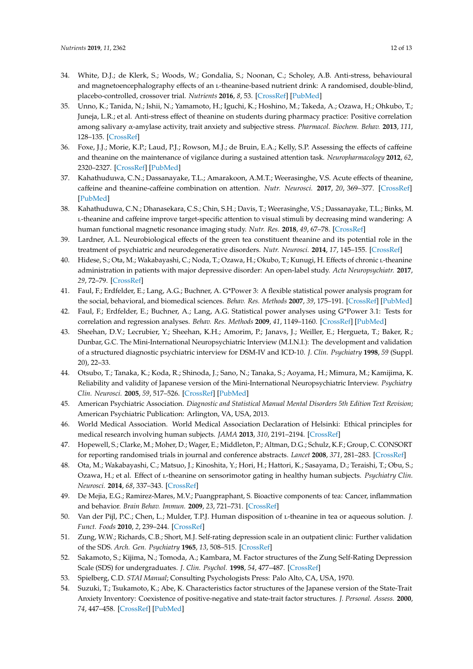- <span id="page-11-0"></span>34. White, D.J.; de Klerk, S.; Woods, W.; Gondalia, S.; Noonan, C.; Scholey, A.B. Anti-stress, behavioural and magnetoencephalography effects of an L-theanine-based nutrient drink: A randomised, double-blind, placebo-controlled, crossover trial. *Nutrients* **2016**, *8*, 53. [\[CrossRef\]](http://dx.doi.org/10.3390/nu8010053) [\[PubMed\]](http://www.ncbi.nlm.nih.gov/pubmed/26797633)
- <span id="page-11-1"></span>35. Unno, K.; Tanida, N.; Ishii, N.; Yamamoto, H.; Iguchi, K.; Hoshino, M.; Takeda, A.; Ozawa, H.; Ohkubo, T.; Juneja, L.R.; et al. Anti-stress effect of theanine on students during pharmacy practice: Positive correlation among salivary α-amylase activity, trait anxiety and subjective stress. *Pharmacol. Biochem. Behav.* **2013**, *111*, 128–135. [\[CrossRef\]](http://dx.doi.org/10.1016/j.pbb.2013.09.004)
- <span id="page-11-2"></span>36. Foxe, J.J.; Morie, K.P.; Laud, P.J.; Rowson, M.J.; de Bruin, E.A.; Kelly, S.P. Assessing the effects of caffeine and theanine on the maintenance of vigilance during a sustained attention task. *Neuropharmacology* **2012**, *62*, 2320–2327. [\[CrossRef\]](http://dx.doi.org/10.1016/j.neuropharm.2012.01.020) [\[PubMed\]](http://www.ncbi.nlm.nih.gov/pubmed/22326943)
- <span id="page-11-3"></span>37. Kahathuduwa, C.N.; Dassanayake, T.L.; Amarakoon, A.M.T.; Weerasinghe, V.S. Acute effects of theanine, caffeine and theanine-caffeine combination on attention. *Nutr. Neurosci.* **2017**, *20*, 369–377. [\[CrossRef\]](http://dx.doi.org/10.1080/1028415X.2016.1144845) [\[PubMed\]](http://www.ncbi.nlm.nih.gov/pubmed/26869148)
- <span id="page-11-4"></span>38. Kahathuduwa, C.N.; Dhanasekara, C.S.; Chin, S.H.; Davis, T.; Weerasinghe, V.S.; Dassanayake, T.L.; Binks, M. l-theanine and caffeine improve target-specific attention to visual stimuli by decreasing mind wandering: A human functional magnetic resonance imaging study. *Nutr. Res.* **2018**, *49*, 67–78. [\[CrossRef\]](http://dx.doi.org/10.1016/j.nutres.2017.11.002)
- <span id="page-11-5"></span>39. Lardner, A.L. Neurobiological effects of the green tea constituent theanine and its potential role in the treatment of psychiatric and neurodegenerative disorders. *Nutr. Neurosci.* **2014**, *17*, 145–155. [\[CrossRef\]](http://dx.doi.org/10.1179/1476830513Y.0000000079)
- <span id="page-11-6"></span>40. Hidese, S.; Ota, M.; Wakabayashi, C.; Noda, T.; Ozawa, H.; Okubo, T.; Kunugi, H. Effects of chronic l-theanine administration in patients with major depressive disorder: An open-label study. *Acta Neuropsychiatr.* **2017**, *29*, 72–79. [\[CrossRef\]](http://dx.doi.org/10.1017/neu.2016.33)
- <span id="page-11-7"></span>41. Faul, F.; Erdfelder, E.; Lang, A.G.; Buchner, A. G\*Power 3: A flexible statistical power analysis program for the social, behavioral, and biomedical sciences. *Behav. Res. Methods* **2007**, *39*, 175–191. [\[CrossRef\]](http://dx.doi.org/10.3758/BF03193146) [\[PubMed\]](http://www.ncbi.nlm.nih.gov/pubmed/17695343)
- <span id="page-11-8"></span>42. Faul, F.; Erdfelder, E.; Buchner, A.; Lang, A.G. Statistical power analyses using G\*Power 3.1: Tests for correlation and regression analyses. *Behav. Res. Methods* **2009**, *41*, 1149–1160. [\[CrossRef\]](http://dx.doi.org/10.3758/BRM.41.4.1149) [\[PubMed\]](http://www.ncbi.nlm.nih.gov/pubmed/19897823)
- <span id="page-11-9"></span>43. Sheehan, D.V.; Lecrubier, Y.; Sheehan, K.H.; Amorim, P.; Janavs, J.; Weiller, E.; Hergueta, T.; Baker, R.; Dunbar, G.C. The Mini-International Neuropsychiatric Interview (M.I.N.I.): The development and validation of a structured diagnostic psychiatric interview for DSM-IV and ICD-10. *J. Clin. Psychiatry* **1998**, *59* (Suppl. 20), 22–33.
- <span id="page-11-10"></span>44. Otsubo, T.; Tanaka, K.; Koda, R.; Shinoda, J.; Sano, N.; Tanaka, S.; Aoyama, H.; Mimura, M.; Kamijima, K. Reliability and validity of Japanese version of the Mini-International Neuropsychiatric Interview. *Psychiatry Clin. Neurosci.* **2005**, *59*, 517–526. [\[CrossRef\]](http://dx.doi.org/10.1111/j.1440-1819.2005.01408.x) [\[PubMed\]](http://www.ncbi.nlm.nih.gov/pubmed/16194252)
- <span id="page-11-11"></span>45. American Psychiatric Association. *Diagnostic and Statistical Manual Mental Disorders 5th Edition Text Revision*; American Psychiatric Publication: Arlington, VA, USA, 2013.
- <span id="page-11-12"></span>46. World Medical Association. World Medical Association Declaration of Helsinki: Ethical principles for medical research involving human subjects. *JAMA* **2013**, *310*, 2191–2194. [\[CrossRef\]](http://dx.doi.org/10.1001/jama.2013.281053)
- <span id="page-11-13"></span>47. Hopewell, S.; Clarke, M.; Moher, D.; Wager, E.; Middleton, P.; Altman, D.G.; Schulz, K.F.; Group, C. CONSORT for reporting randomised trials in journal and conference abstracts. *Lancet* **2008**, *371*, 281–283. [\[CrossRef\]](http://dx.doi.org/10.1016/S0140-6736(07)61835-2)
- <span id="page-11-14"></span>48. Ota, M.; Wakabayashi, C.; Matsuo, J.; Kinoshita, Y.; Hori, H.; Hattori, K.; Sasayama, D.; Teraishi, T.; Obu, S.; Ozawa, H.; et al. Effect of l-theanine on sensorimotor gating in healthy human subjects. *Psychiatry Clin. Neurosci.* **2014**, *68*, 337–343. [\[CrossRef\]](http://dx.doi.org/10.1111/pcn.12134)
- <span id="page-11-15"></span>49. De Mejia, E.G.; Ramirez-Mares, M.V.; Puangpraphant, S. Bioactive components of tea: Cancer, inflammation and behavior. *Brain Behav. Immun.* **2009**, *23*, 721–731. [\[CrossRef\]](http://dx.doi.org/10.1016/j.bbi.2009.02.013)
- <span id="page-11-16"></span>50. Van der Pijl, P.C.; Chen, L.; Mulder, T.P.J. Human disposition of l-theanine in tea or aqueous solution. *J. Funct. Foods* **2010**, *2*, 239–244. [\[CrossRef\]](http://dx.doi.org/10.1016/j.jff.2010.08.001)
- <span id="page-11-17"></span>51. Zung, W.W.; Richards, C.B.; Short, M.J. Self-rating depression scale in an outpatient clinic: Further validation of the SDS. *Arch. Gen. Psychiatry* **1965**, *13*, 508–515. [\[CrossRef\]](http://dx.doi.org/10.1001/archpsyc.1965.01730060026004)
- <span id="page-11-18"></span>52. Sakamoto, S.; Kijima, N.; Tomoda, A.; Kambara, M. Factor structures of the Zung Self-Rating Depression Scale (SDS) for undergraduates. *J. Clin. Psychol.* **1998**, *54*, 477–487. [\[CrossRef\]](http://dx.doi.org/10.1002/(SICI)1097-4679(199806)54:4<477::AID-JCLP9>3.0.CO;2-K)
- <span id="page-11-19"></span>53. Spielberg, C.D. *STAI Manual*; Consulting Psychologists Press: Palo Alto, CA, USA, 1970.
- <span id="page-11-20"></span>54. Suzuki, T.; Tsukamoto, K.; Abe, K. Characteristics factor structures of the Japanese version of the State-Trait Anxiety Inventory: Coexistence of positive-negative and state-trait factor structures. *J. Personal. Assess.* **2000**, *74*, 447–458. [\[CrossRef\]](http://dx.doi.org/10.1207/S15327752JPA7403_8) [\[PubMed\]](http://www.ncbi.nlm.nih.gov/pubmed/10900571)